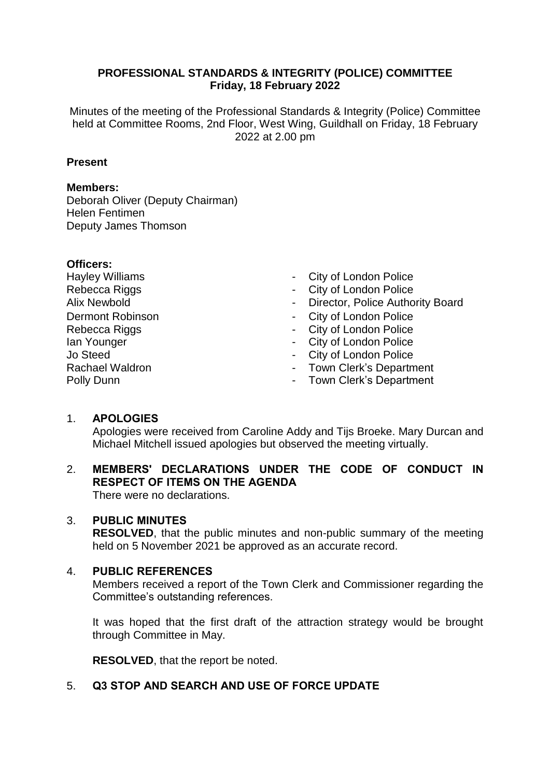## **PROFESSIONAL STANDARDS & INTEGRITY (POLICE) COMMITTEE Friday, 18 February 2022**

Minutes of the meeting of the Professional Standards & Integrity (Police) Committee held at Committee Rooms, 2nd Floor, West Wing, Guildhall on Friday, 18 February 2022 at 2.00 pm

## **Present**

### **Members:**

Deborah Oliver (Deputy Chairman) Helen Fentimen Deputy James Thomson

#### **Officers:**

Hayley Williams Rebecca Riggs Dermont Robinson Rebecca Riggs Ian Younger Jo Steed Rachael Waldron Polly Dunn

- City of London Police
- City of London Police
- Alix Newbold **Alix Newbold Director, Police Authority Board** 
	- City of London Police
	- City of London Police
	- City of London Police
	- City of London Police
	- Town Clerk's Department
	- Town Clerk's Department

## 1. **APOLOGIES**

Apologies were received from Caroline Addy and Tijs Broeke. Mary Durcan and Michael Mitchell issued apologies but observed the meeting virtually.

#### 2. **MEMBERS' DECLARATIONS UNDER THE CODE OF CONDUCT IN RESPECT OF ITEMS ON THE AGENDA** There were no declarations.

# 3. **PUBLIC MINUTES**

**RESOLVED**, that the public minutes and non-public summary of the meeting held on 5 November 2021 be approved as an accurate record.

## 4. **PUBLIC REFERENCES**

Members received a report of the Town Clerk and Commissioner regarding the Committee's outstanding references.

It was hoped that the first draft of the attraction strategy would be brought through Committee in May.

**RESOLVED**, that the report be noted.

## 5. **Q3 STOP AND SEARCH AND USE OF FORCE UPDATE**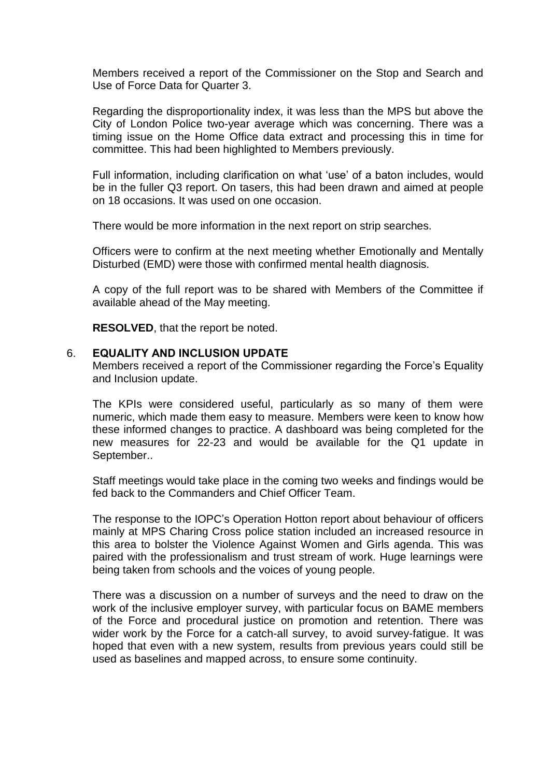Members received a report of the Commissioner on the Stop and Search and Use of Force Data for Quarter 3.

Regarding the disproportionality index, it was less than the MPS but above the City of London Police two-year average which was concerning. There was a timing issue on the Home Office data extract and processing this in time for committee. This had been highlighted to Members previously.

Full information, including clarification on what 'use' of a baton includes, would be in the fuller Q3 report. On tasers, this had been drawn and aimed at people on 18 occasions. It was used on one occasion.

There would be more information in the next report on strip searches.

Officers were to confirm at the next meeting whether Emotionally and Mentally Disturbed (EMD) were those with confirmed mental health diagnosis.

A copy of the full report was to be shared with Members of the Committee if available ahead of the May meeting.

**RESOLVED**, that the report be noted.

#### 6. **EQUALITY AND INCLUSION UPDATE**

Members received a report of the Commissioner regarding the Force's Equality and Inclusion update.

The KPIs were considered useful, particularly as so many of them were numeric, which made them easy to measure. Members were keen to know how these informed changes to practice. A dashboard was being completed for the new measures for 22-23 and would be available for the Q1 update in September..

Staff meetings would take place in the coming two weeks and findings would be fed back to the Commanders and Chief Officer Team.

The response to the IOPC's Operation Hotton report about behaviour of officers mainly at MPS Charing Cross police station included an increased resource in this area to bolster the Violence Against Women and Girls agenda. This was paired with the professionalism and trust stream of work. Huge learnings were being taken from schools and the voices of young people.

There was a discussion on a number of surveys and the need to draw on the work of the inclusive employer survey, with particular focus on BAME members of the Force and procedural justice on promotion and retention. There was wider work by the Force for a catch-all survey, to avoid survey-fatigue. It was hoped that even with a new system, results from previous years could still be used as baselines and mapped across, to ensure some continuity.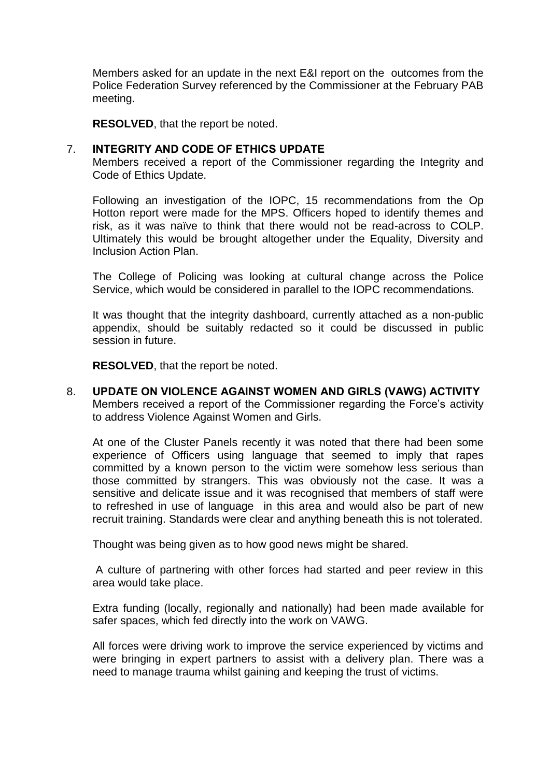Members asked for an update in the next E&I report on the outcomes from the Police Federation Survey referenced by the Commissioner at the February PAB meeting.

**RESOLVED**, that the report be noted.

#### 7. **INTEGRITY AND CODE OF ETHICS UPDATE**

Members received a report of the Commissioner regarding the Integrity and Code of Ethics Update.

Following an investigation of the IOPC, 15 recommendations from the Op Hotton report were made for the MPS. Officers hoped to identify themes and risk, as it was naïve to think that there would not be read-across to COLP. Ultimately this would be brought altogether under the Equality, Diversity and Inclusion Action Plan.

The College of Policing was looking at cultural change across the Police Service, which would be considered in parallel to the IOPC recommendations.

It was thought that the integrity dashboard, currently attached as a non-public appendix, should be suitably redacted so it could be discussed in public session in future.

**RESOLVED**, that the report be noted.

8. **UPDATE ON VIOLENCE AGAINST WOMEN AND GIRLS (VAWG) ACTIVITY** Members received a report of the Commissioner regarding the Force's activity to address Violence Against Women and Girls.

At one of the Cluster Panels recently it was noted that there had been some experience of Officers using language that seemed to imply that rapes committed by a known person to the victim were somehow less serious than those committed by strangers. This was obviously not the case. It was a sensitive and delicate issue and it was recognised that members of staff were to refreshed in use of language in this area and would also be part of new recruit training. Standards were clear and anything beneath this is not tolerated.

Thought was being given as to how good news might be shared.

A culture of partnering with other forces had started and peer review in this area would take place.

Extra funding (locally, regionally and nationally) had been made available for safer spaces, which fed directly into the work on VAWG.

All forces were driving work to improve the service experienced by victims and were bringing in expert partners to assist with a delivery plan. There was a need to manage trauma whilst gaining and keeping the trust of victims.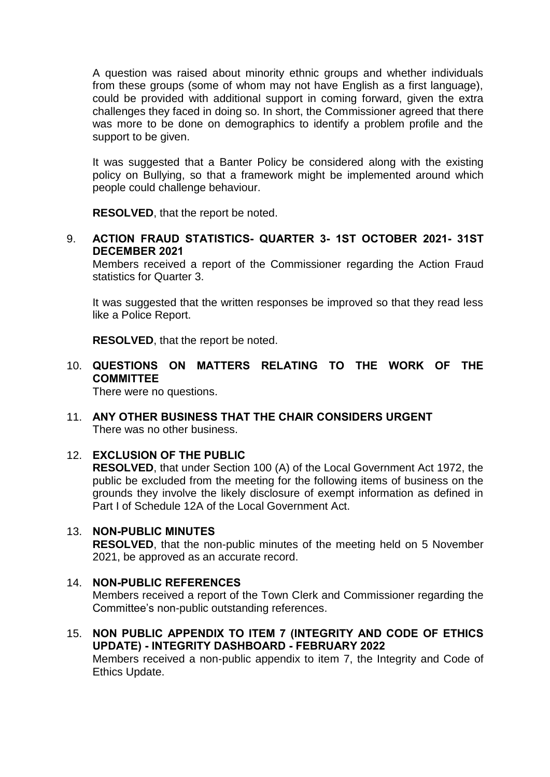A question was raised about minority ethnic groups and whether individuals from these groups (some of whom may not have English as a first language), could be provided with additional support in coming forward, given the extra challenges they faced in doing so. In short, the Commissioner agreed that there was more to be done on demographics to identify a problem profile and the support to be given.

It was suggested that a Banter Policy be considered along with the existing policy on Bullying, so that a framework might be implemented around which people could challenge behaviour.

**RESOLVED**, that the report be noted.

9. **ACTION FRAUD STATISTICS- QUARTER 3- 1ST OCTOBER 2021- 31ST DECEMBER 2021**

Members received a report of the Commissioner regarding the Action Fraud statistics for Quarter 3.

It was suggested that the written responses be improved so that they read less like a Police Report.

**RESOLVED**, that the report be noted.

10. **QUESTIONS ON MATTERS RELATING TO THE WORK OF THE COMMITTEE**

There were no questions.

11. **ANY OTHER BUSINESS THAT THE CHAIR CONSIDERS URGENT** There was no other business.

## 12. **EXCLUSION OF THE PUBLIC**

**RESOLVED**, that under Section 100 (A) of the Local Government Act 1972, the public be excluded from the meeting for the following items of business on the grounds they involve the likely disclosure of exempt information as defined in Part I of Schedule 12A of the Local Government Act.

#### 13. **NON-PUBLIC MINUTES**

**RESOLVED**, that the non-public minutes of the meeting held on 5 November 2021, be approved as an accurate record.

#### 14. **NON-PUBLIC REFERENCES**

Members received a report of the Town Clerk and Commissioner regarding the Committee's non-public outstanding references.

15. **NON PUBLIC APPENDIX TO ITEM 7 (INTEGRITY AND CODE OF ETHICS UPDATE) - INTEGRITY DASHBOARD - FEBRUARY 2022**

Members received a non-public appendix to item 7, the Integrity and Code of Ethics Update.